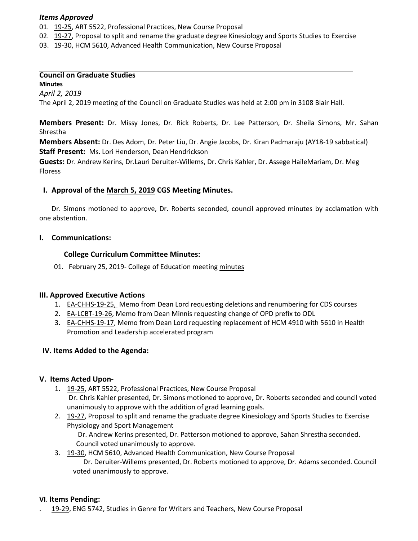#### *Items Approved*

- 01. [19-25,](http://castle.eiu.edu/eiucgs/currentagendaitems/agenda19-25.pdf) ART 5522, Professional Practices, New Course Proposal
- 02. [19-27,](http://castle.eiu.edu/eiucgs/currentagendaitems/agenda19-27.pdf) Proposal to split and rename the graduate degree Kinesiology and Sports Studies to Exercise
- 03. [19-30](http://castle.eiu.edu/eiucgs/currentagendaitems/agenda19-30.pdf), HCM 5610, Advanced Health Communication, New Course Proposal

# **Council on Graduate Studies**

#### **Minutes**

*April 2, 2019* The April 2, 2019 meeting of the Council on Graduate Studies was held at 2:00 pm in 3108 Blair Hall.

**Members Present:** Dr. Missy Jones, Dr. Rick Roberts, Dr. Lee Patterson, Dr. Sheila Simons, Mr. Sahan Shrestha

**Members Absent:** Dr. Des Adom, Dr. Peter Liu, Dr. Angie Jacobs, Dr. Kiran Padmaraju (AY18-19 sabbatical) **Staff Present:** Ms. Lori Henderson, Dean Hendrickson

**Guests:** Dr. Andrew Kerins, Dr.Lauri Deruiter-Willems, Dr. Chris Kahler, Dr. Assege HaileMariam, Dr. Meg Floress

# **I. Approval of the [March 5, 2019](http://castle.eiu.edu/eiucgs/currentminutes/Minutes3-5-19.pdf) CGS Meeting Minutes.**

Dr. Simons motioned to approve, Dr. Roberts seconded, council approved minutes by acclamation with one abstention.

#### **I. Communications:**

# **College Curriculum Committee Minutes:**

01. February 25, 2019- College of Education meeting [minutes](https://www.eiu.edu/coe/ay20182019/supportdocs/feb/coe_curr_minutes_02252019.pdf)

# **III. Approved Executive Actions**

- 1. [EA-CHHS-19-25,](http://castle.eiu.edu/eiucgs/exec-actions/EA-CHHS-19-25.pdf) Memo from Dean Lord requesting deletions and renumbering for CDS courses
- 2. [EA-LCBT-19-26,](http://castle.eiu.edu/eiucgs/exec-actions/EA-LCBT-19-26.pdf) Memo from Dean Minnis requesting change of OPD prefix to ODL
- 3. **[EA-CHHS-19-17,](http://castle.eiu.edu/eiucgs/exec-actions/EA-CHHS-19-17.pdf) Memo from Dean Lord requesting replacement of HCM 4910 with 5610 in Health** Promotion and Leadership accelerated program

# **IV. Items Added to the Agenda:**

# **V. Items Acted Upon-**

- 1. [19-25,](http://castle.eiu.edu/eiucgs/currentagendaitems/agenda19-25.pdf) ART 5522, Professional Practices, New Course Proposal Dr. Chris Kahler presented, Dr. Simons motioned to approve, Dr. Roberts seconded and council voted unanimously to approve with the addition of grad learning goals.
- 2. [19-27,](http://castle.eiu.edu/eiucgs/currentagendaitems/agenda19-27.pdf) Proposal to split and rename the graduate degree Kinesiology and Sports Studies to Exercise Physiology and Sport Management
	- Dr. Andrew Kerins presented, Dr. Patterson motioned to approve, Sahan Shrestha seconded. Council voted unanimously to approve.
- 3. [19-30,](http://castle.eiu.edu/eiucgs/currentagendaitems/agenda19-30.pdf) HCM 5610, Advanced Health Communication, New Course Proposal Dr. Deruiter-Willems presented, Dr. Roberts motioned to approve, Dr. Adams seconded. Council voted unanimously to approve.

# **VI**. **Items Pending:**

[19-29,](http://castle.eiu.edu/eiucgs/currentagendaitems/agenda19-29.pdf) ENG 5742, Studies in Genre for Writers and Teachers, New Course Proposal